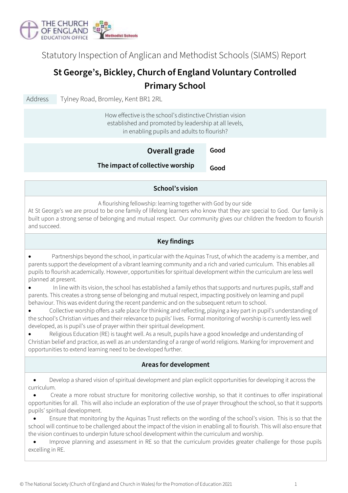

Statutory Inspection of Anglican and Methodist Schools (SIAMS) Report

# **St George's, Bickley, Church of England Voluntary Controlled Primary School**

Address Tylney Road, Bromley, Kent BR1 2RL

How effective is the school's distinctive Christian vision established and promoted by leadership at all levels, in enabling pupils and adults to flourish?

#### **Good Good Overall grade The impact of collective worship**

# **School's vision**

A flourishing fellowship: learning together with God by our side

At St George's we are proud to be one family of lifelong learners who know that they are special to God. Our family is built upon a strong sense of belonging and mutual respect. Our community gives our children the freedom to flourish and succeed.

### **Key findings**

• Partnerships beyond the school, in particular with the Aquinas Trust, of which the academy is a member, and parents support the development of a vibrant learning community and a rich and varied curriculum. This enables all pupils to flourish academically. However, opportunities for spiritual development within the curriculum are less well planned at present.

• In line with its vision, the school has established a family ethos that supports and nurtures pupils, staff and parents. This creates a strong sense of belonging and mutual respect, impacting positively on learning and pupil behaviour. This was evident during the recent pandemic and on the subsequent return to school.

• Collective worship offers a safe place for thinking and reflecting, playing a key part in pupil's understanding of the school's Christian virtues and their relevance to pupils' lives. Formal monitoring of worship is currently less well developed, as is pupil's use of prayer within their spiritual development.

• Religious Education (RE) is taught well. As a result, pupils have a good knowledge and understanding of Christian belief and practice, as well as an understanding of a range of world religions. Marking for improvement and opportunities to extend learning need to be developed further.

### **Areas for development**

• Develop a shared vision of spiritual development and plan explicit opportunities for developing it across the curriculum.

• Create a more robust structure for monitoring collective worship, so that it continues to offer inspirational opportunities for all. This will also include an exploration of the use of prayer throughout the school, so that it supports pupils' spiritual development.

• Ensure that monitoring by the Aquinas Trust reflects on the wording of the school's vision. This is so that the school will continue to be challenged about the impact of the vision in enabling all to flourish. This will also ensure that the vision continues to underpin future school development within the curriculum and worship.

• Improve planning and assessment in RE so that the curriculum provides greater challenge for those pupils excelling in RE.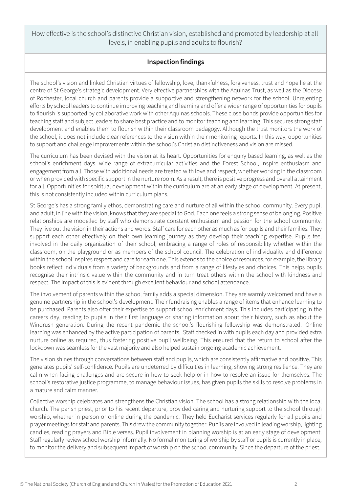How effective is the school's distinctive Christian vision, established and promoted by leadership at all levels, in enabling pupils and adults to flourish?

# **Inspection findings**

The school's vision and linked Christian virtues of fellowship, love, thankfulness, forgiveness, trust and hope lie at the centre of St George's strategic development. Very effective partnerships with the Aquinas Trust, as well as the Diocese of Rochester, local church and parents provide a supportive and strengthening network for the school. Unrelenting efforts by school leaders to continue improving teaching and learning and offer a wider range of opportunities for pupils to flourish is supported by collaborative work with other Aquinas schools. These close bonds provide opportunities for teaching staff and subject leaders to share best practice and to monitor teaching and learning. This secures strong staff development and enables them to flourish within their classroom pedagogy. Although the trust monitors the work of the school, it does not include clear references to the vision within their monitoring reports. In this way, opportunities to support and challenge improvements within the school's Christian distinctiveness and vision are missed.

The curriculum has been devised with the vision at its heart. Opportunities for enquiry based learning, as well as the school's enrichment days, wide range of extracurricular activities and the Forest School, inspire enthusiasm and engagement from all. Those with additional needs are treated with love and respect, whether working in the classroom or when provided with specific support in the nurture room. As a result, there is positive progress and overall attainment for all. Opportunities for spiritual development within the curriculum are at an early stage of development. At present, this is not consistently included within curriculum plans.

St George's has a strong family ethos, demonstrating care and nurture of all within the school community. Every pupil and adult, in line with the vision, knows that they are special to God. Each one feels a strong sense of belonging. Positive relationships are modelled by staff who demonstrate constant enthusiasm and passion for the school community. They live out the vision in their actions and words. Staff care for each other as much as for pupils and their families. They support each other effectively on their own learning journey as they develop their teaching expertise. Pupils feel involved in the daily organization of their school, embracing a range of roles of responsibility whether within the classroom, on the playground or as members of the school council. The celebration of individuality and difference within the school inspires respect and care for each one. This extends to the choice of resources, for example, the library books reflect individuals from a variety of backgrounds and from a range of lifestyles and choices. This helps pupils recognise their intrinsic value within the community and in turn treat others within the school with kindness and respect. The impact of this is evident through excellent behaviour and school attendance.

The involvement of parents within the school family adds a special dimension. They are warmly welcomed and have a genuine partnership in the school's development. Their fundraising enables a range of items that enhance learning to be purchased. Parents also offer their expertise to support school enrichment days. This includes participating in the careers day, reading to pupils in their first language or sharing information about their history, such as about the Windrush generation. During the recent pandemic the school's flourishing fellowship was demonstrated. Online learning was enhanced by the active participation of parents. Staff checked in with pupils each day and provided extra nurture online as required, thus fostering positive pupil wellbeing. This ensured that the return to school after the lockdown was seamless for the vast majority and also helped sustain ongoing academic achievement.

The vision shines through conversations between staff and pupils, which are consistently affirmative and positive. This generates pupils' self-confidence. Pupils are undeterred by difficulties in learning, showing strong resilience. They are calm when facing challenges and are secure in how to seek help or in how to resolve an issue for themselves. The school's restorative justice programme, to manage behaviour issues, has given pupils the skills to resolve problems in a mature and calm manner.

Collective worship celebrates and strengthens the Christian vision. The school has a strong relationship with the local church. The parish priest, prior to his recent departure, provided caring and nurturing support to the school through worship, whether in person or online during the pandemic. They held Eucharist services regularly for all pupils and prayer meetings for staff and parents. This drewthe community together. Pupils are involved in leading worship, lighting candles, reading prayers and Bible verses. Pupil involvement in planning worship is at an early stage of development. Staff regularly review school worship informally. No formal monitoring of worship by staff or pupils is currently in place, to monitor the delivery and subsequent impact of worship on the school community. Since the departure of the priest,